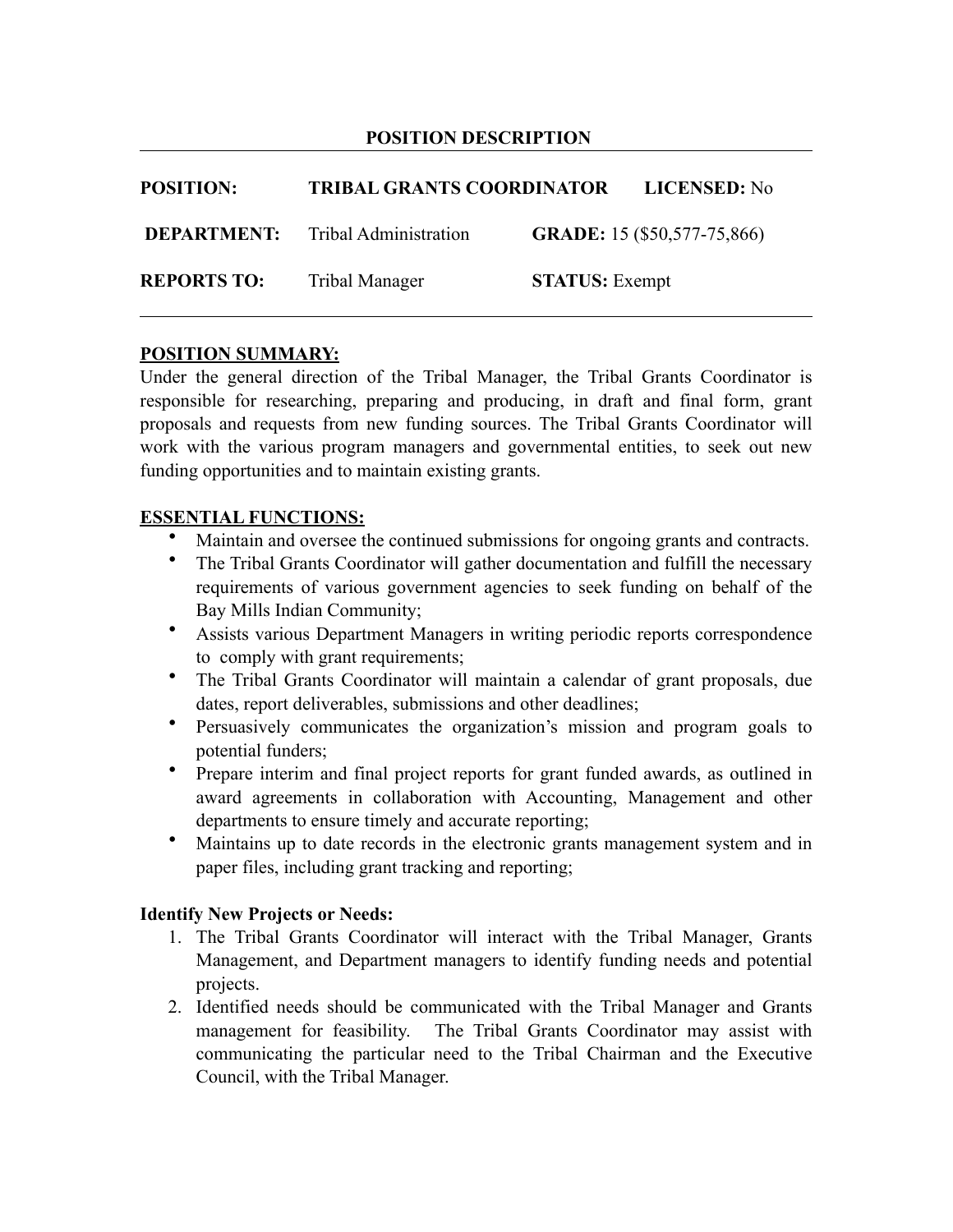#### **POSITION DESCRIPTION**

| <b>POSITION:</b>   | <b>TRIBAL GRANTS COORDINATOR</b>         |                       | LICENSED: No                |
|--------------------|------------------------------------------|-----------------------|-----------------------------|
|                    | <b>DEPARTMENT:</b> Tribal Administration |                       | GRADE: 15 (\$50,577-75,866) |
| <b>REPORTS TO:</b> | Tribal Manager                           | <b>STATUS:</b> Exempt |                             |

#### **POSITION SUMMARY:**

Under the general direction of the Tribal Manager, the Tribal Grants Coordinator is responsible for researching, preparing and producing, in draft and final form, grant proposals and requests from new funding sources. The Tribal Grants Coordinator will work with the various program managers and governmental entities, to seek out new funding opportunities and to maintain existing grants.

#### **ESSENTIAL FUNCTIONS:**

- Maintain and oversee the continued submissions for ongoing grants and contracts.
- The Tribal Grants Coordinator will gather documentation and fulfill the necessary requirements of various government agencies to seek funding on behalf of the Bay Mills Indian Community;
- Assists various Department Managers in writing periodic reports correspondence to comply with grant requirements;
- The Tribal Grants Coordinator will maintain a calendar of grant proposals, due dates, report deliverables, submissions and other deadlines;
- Persuasively communicates the organization's mission and program goals to potential funders;
- Prepare interim and final project reports for grant funded awards, as outlined in award agreements in collaboration with Accounting, Management and other departments to ensure timely and accurate reporting;
- Maintains up to date records in the electronic grants management system and in paper files, including grant tracking and reporting;

#### **Identify New Projects or Needs:**

- 1. The Tribal Grants Coordinator will interact with the Tribal Manager, Grants Management, and Department managers to identify funding needs and potential projects.
- 2. Identified needs should be communicated with the Tribal Manager and Grants management for feasibility. The Tribal Grants Coordinator may assist with communicating the particular need to the Tribal Chairman and the Executive Council, with the Tribal Manager.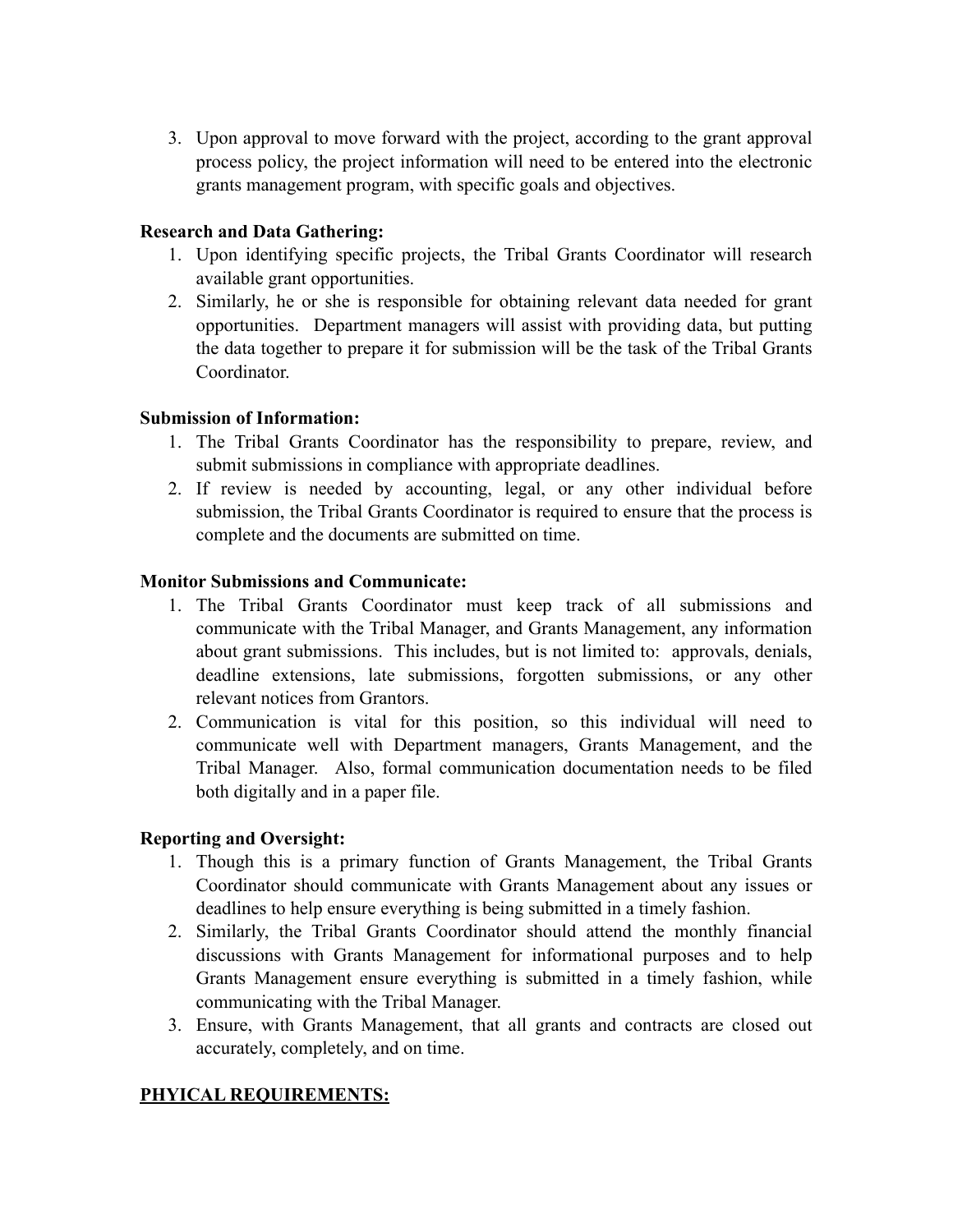3. Upon approval to move forward with the project, according to the grant approval process policy, the project information will need to be entered into the electronic grants management program, with specific goals and objectives.

### **Research and Data Gathering:**

- 1. Upon identifying specific projects, the Tribal Grants Coordinator will research available grant opportunities.
- 2. Similarly, he or she is responsible for obtaining relevant data needed for grant opportunities. Department managers will assist with providing data, but putting the data together to prepare it for submission will be the task of the Tribal Grants **Coordinator**

## **Submission of Information:**

- 1. The Tribal Grants Coordinator has the responsibility to prepare, review, and submit submissions in compliance with appropriate deadlines.
- 2. If review is needed by accounting, legal, or any other individual before submission, the Tribal Grants Coordinator is required to ensure that the process is complete and the documents are submitted on time.

## **Monitor Submissions and Communicate:**

- 1. The Tribal Grants Coordinator must keep track of all submissions and communicate with the Tribal Manager, and Grants Management, any information about grant submissions. This includes, but is not limited to: approvals, denials, deadline extensions, late submissions, forgotten submissions, or any other relevant notices from Grantors.
- 2. Communication is vital for this position, so this individual will need to communicate well with Department managers, Grants Management, and the Tribal Manager. Also, formal communication documentation needs to be filed both digitally and in a paper file.

### **Reporting and Oversight:**

- 1. Though this is a primary function of Grants Management, the Tribal Grants Coordinator should communicate with Grants Management about any issues or deadlines to help ensure everything is being submitted in a timely fashion.
- 2. Similarly, the Tribal Grants Coordinator should attend the monthly financial discussions with Grants Management for informational purposes and to help Grants Management ensure everything is submitted in a timely fashion, while communicating with the Tribal Manager.
- 3. Ensure, with Grants Management, that all grants and contracts are closed out accurately, completely, and on time.

# **PHYICAL REQUIREMENTS:**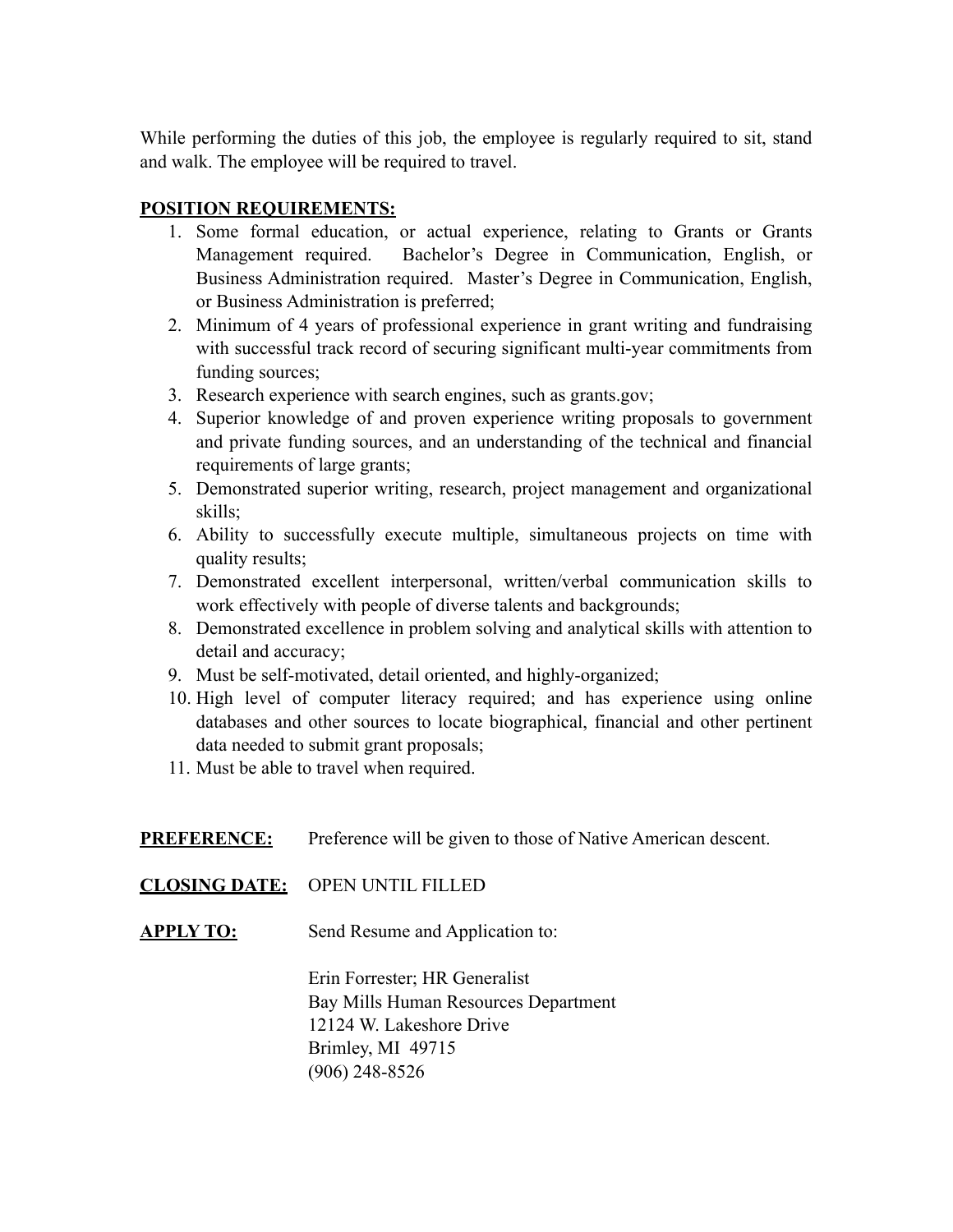While performing the duties of this job, the employee is regularly required to sit, stand and walk. The employee will be required to travel.

# **POSITION REQUIREMENTS:**

- 1. Some formal education, or actual experience, relating to Grants or Grants Management required. Bachelor's Degree in Communication, English, or Business Administration required. Master's Degree in Communication, English, or Business Administration is preferred;
- 2. Minimum of 4 years of professional experience in grant writing and fundraising with successful track record of securing significant multi-year commitments from funding sources;
- 3. Research experience with search engines, such as grants.gov;
- 4. Superior knowledge of and proven experience writing proposals to government and private funding sources, and an understanding of the technical and financial requirements of large grants;
- 5. Demonstrated superior writing, research, project management and organizational skills;
- 6. Ability to successfully execute multiple, simultaneous projects on time with quality results:
- 7. Demonstrated excellent interpersonal, written/verbal communication skills to work effectively with people of diverse talents and backgrounds;
- 8. Demonstrated excellence in problem solving and analytical skills with attention to detail and accuracy;
- 9. Must be self-motivated, detail oriented, and highly-organized;
- 10. High level of computer literacy required; and has experience using online databases and other sources to locate biographical, financial and other pertinent data needed to submit grant proposals;
- 11. Must be able to travel when required.

**PREFERENCE:** Preference will be given to those of Native American descent.

**CLOSING DATE:** OPEN UNTIL FILLED

**APPLY TO:** Send Resume and Application to:

Erin Forrester; HR Generalist Bay Mills Human Resources Department 12124 W. Lakeshore Drive Brimley, MI 49715 (906) 248-8526